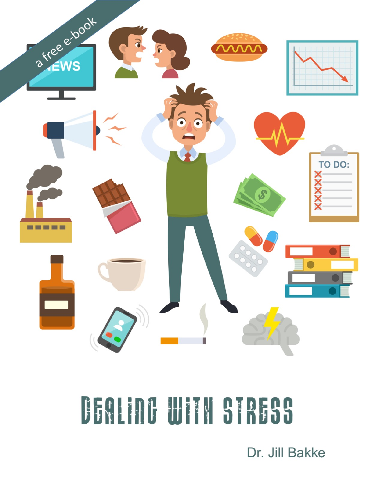

# DEALING WITH STRESS

Dr. Jill Bakke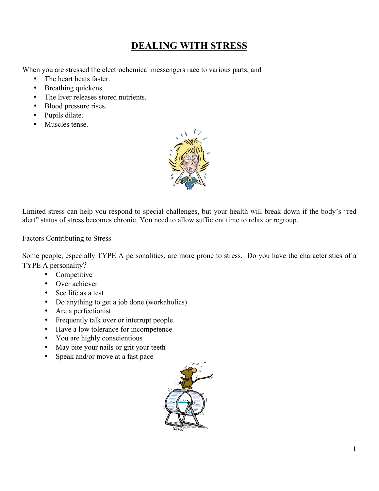## **DEALING WITH STRESS**

When you are stressed the electrochemical messengers race to various parts, and

- The heart beats faster.
- Breathing quickens.
- The liver releases stored nutrients.
- Blood pressure rises.
- Pupils dilate.
- Muscles tense



Limited stress can help you respond to special challenges, but your health will break down if the body's "red alert" status of stress becomes chronic. You need to allow sufficient time to relax or regroup.

#### Factors Contributing to Stress

Some people, especially TYPE A personalities, are more prone to stress. Do you have the characteristics of a TYPE A personality?

- Competitive
- Over achiever
- See life as a test
- Do anything to get a job done (workaholics)
- Are a perfectionist
- Frequently talk over or interrupt people
- Have a low tolerance for incompetence
- You are highly conscientious
- May bite your nails or grit your teeth
- Speak and/or move at a fast pace

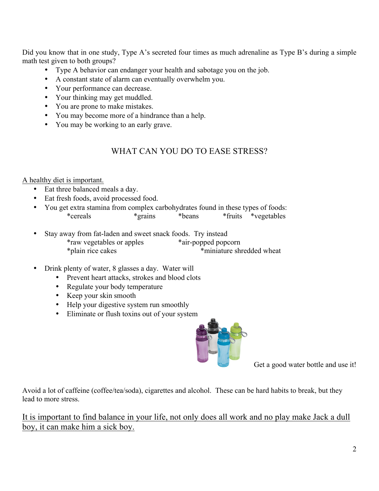Did you know that in one study, Type A's secreted four times as much adrenaline as Type B's during a simple math test given to both groups?

- Type A behavior can endanger your health and sabotage you on the job.
- A constant state of alarm can eventually overwhelm you.
- Your performance can decrease.
- Your thinking may get muddled.
- You are prone to make mistakes.
- You may become more of a hindrance than a help.
- You may be working to an early grave.

## WHAT CAN YOU DO TO EASE STRESS?

A healthy diet is important.

- Eat three balanced meals a day.
- Eat fresh foods, avoid processed food.
- You get extra stamina from complex carbohydrates found in these types of foods: \*fruits \*vegetables
- Stay away from fat-laden and sweet snack foods. Try instead \*raw vegetables or apples \*air-popped popcorn \*plain rice cakes \*miniature shredded wheat
- Drink plenty of water, 8 glasses a day. Water will
	- Prevent heart attacks, strokes and blood clots
	- Regulate your body temperature
	- Keep your skin smooth
	- Help your digestive system run smoothly
	- Eliminate or flush toxins out of your system



Get a good water bottle and use it!

Avoid a lot of caffeine (coffee/tea/soda), cigarettes and alcohol. These can be hard habits to break, but they lead to more stress.

It is important to find balance in your life, not only does all work and no play make Jack a dull boy, it can make him a sick boy.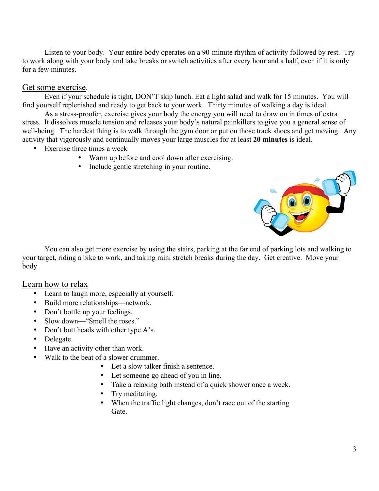Listen to your body. Your entire body operates on a 90-minute rhythm of activity followed by rest. Try to work along with your body and take breaks or switch activities after every hour and a half, even if it is only for a few minutes.

### Get some exercise.

Even if your schedule is tight, DON'T skip lunch. Eat a light salad and walk for 15 minutes. You will find yourself replenished and ready to get back to your work. Thirty minutes of walking a day is ideal.

As a stress-proofer, exercise gives your body the energy you will need to draw on in times of extra stress. It dissolves muscle tension and releases your body's natural painkillers to give you a general sense of well-being. The hardest thing is to walk through the gym door or put on those track shoes and get moving. Any activity that vigorously and continually moves your large muscles for at least **20 minutes** is ideal.

- Exercise three times a week
	- Warm up before and cool down after exercising.
	- Include gentle stretching in your routine.



You can also get more exercise by using the stairs, parking at the far end of parking lots and walking to your target, riding a bike to work, and taking mini stretch breaks during the day. Get creative. Move your body.

## Learn how to relax

- Learn to laugh more, especially at yourself.
- Build more relationships—network.
- Don't bottle up your feelings.
- Slow down—"Smell the roses."
- Don't butt heads with other type A's.
- Delegate.
- Have an activity other than work.
- Walk to the beat of a slower drummer.
	- Let a slow talker finish a sentence.
	- Let someone go ahead of you in line.
	- Take a relaxing bath instead of a quick shower once a week.
	- Try meditating.
	- When the traffic light changes, don't race out of the starting Gate.